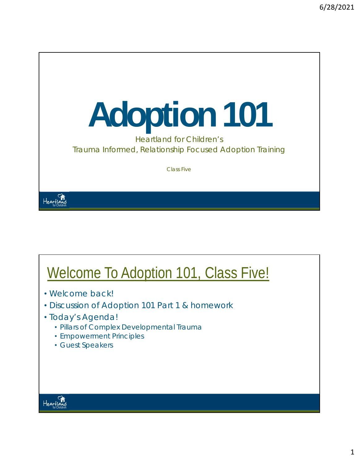# **Adoption 101**

Heartland for Children's Trauma Informed, Relationship Focused Adoption Training

Class Five

#### Welcome To Adoption 101, Class Five!

- Welcome back!
- Discussion of Adoption 101 Part 1 & homework
- Today's Agenda!
	- Pillars of Complex Developmental Trauma
	- Empowerment Principles
	- Guest Speakers



Heartland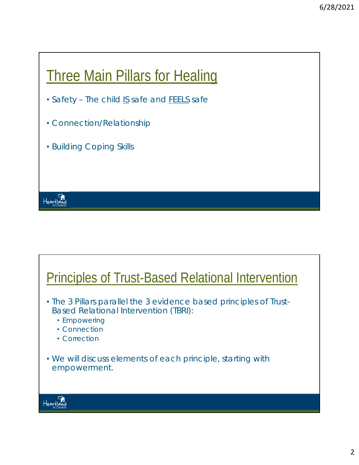#### **Three Main Pillars for Healing**

- *Safety –* The child *IS* safe and *FEELS* safe
- *Connection/Relationship*
- *Building Coping Skills*

#### Principles of Trust-Based Relational Intervention

- The 3 Pillars parallel the 3 evidence based principles of Trust-Based Relational Intervention (TBRI):
	- Empowering
	- Connection
	- Correction
- We will discuss elements of each principle, starting with empowerment.



Heartland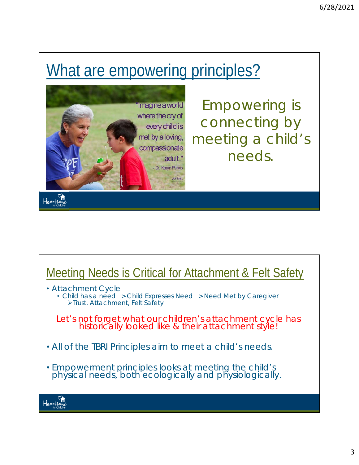### What are empowering principles?



*Empowering is connecting by meeting a child's needs.* 

## Meeting Needs is Critical for Attachment & Felt Safety

- Attachment Cycle
	- Child has a need > Child Expresses Need > Need Met by Caregiver Trust, Attachment, Felt Safety

*Let's not forget what our children's attachment cycle has historically looked like & their attachment style!* 

- *All of the TBRI Principles aim to meet a child's needs.*
- Empowerment principles looks at meeting the child's physical needs, both ecologically and physiologically.

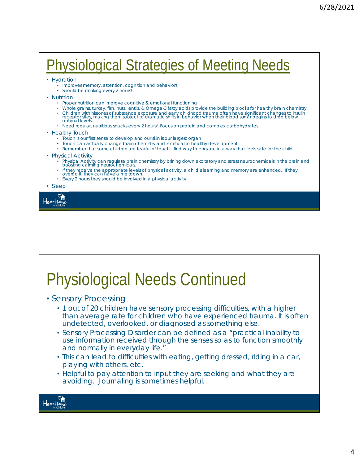#### Physiological Strategies of Meeting Needs

- Hydration
	- Improves memory, attention, cognition and behaviors.
	- Should be drinking every 2 hours!
- Nutrition
	- Proper nutrition can improve cognitive & emotional functioning
	- Whole grains, turkey, fish, nuts, lentils, & Omega-3 fatty acids provide the building blocks for healthy brain chemistry
	- Children with histories of substance exposure and early childhood trauma often have significant changes to insulin<br>receptor sites, making them subject to dramatic shifts in behavior when their blood sugar begins to drop
	- Need regular, nutritious snacks every 2 hours! Focus on protein and complex carbohydrates
- Healthy Touch
	- Touch is our first sense to develop and our skin is our largest organ!
	- Touch can actually change brain chemistry and is critical to healthy development
	- Remember that some children are fearful of touch find way to engage in a way that feels safe for the child
- Physical Activity
	- Physical Activity can regulate brain chemistry by brining down excitatory and stress neurochemicals in the brain and boosting calming neurochemicals.
	- If they receive the appropriate levels of physical activity, a child's learning and memory are enhanced. If they overdo it, they can have a meltdown.
	- Every 2 hours they should be involved in a physical activity!

• Sleep



## Physiological Needs Continued

- Sensory Processing
	- 1 out of 20 children have sensory processing difficulties, with a higher than average rate for children who have experienced trauma. It is often undetected, overlooked, or diagnosed as something else.
	- Sensory Processing Disorder can be defined as a "practical inability to use information received through the senses so as to function smoothly and normally in everyday life."
	- This can lead to difficulties with eating, getting dressed, riding in a car, playing with others, etc.
	- Helpful to pay attention to input they are seeking and what they are avoiding. Journaling is sometimes helpful.

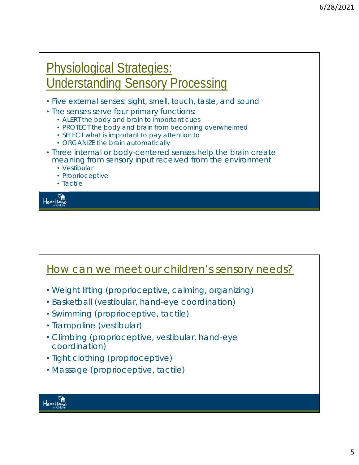#### Physiological Strategies: Understanding Sensory Processing

- Five external senses: sight, smell, touch, taste, and sound
- The senses serve four primary functions:
	- ALERT the body and brain to important cues
	- PROTECT the body and brain from becoming overwhelmed
	- SELECT what is important to pay attention to
	- ORGANIZE the brain automatically
- Three internal or body-centered senses help the brain create meaning from sensory input received from the environment
	- Vestibular
	- Proprioceptive
	- Tactile



#### How can we meet our children's sensory needs?

- Weight lifting (proprioceptive, calming, organizing)
- Basketball (vestibular, hand-eye coordination)
- Swimming (proprioceptive, tactile)
- Trampoline (vestibular)
- Climbing (proprioceptive, vestibular, hand-eye coordination)
- Tight clothing (proprioceptive)
- Massage (proprioceptive, tactile)

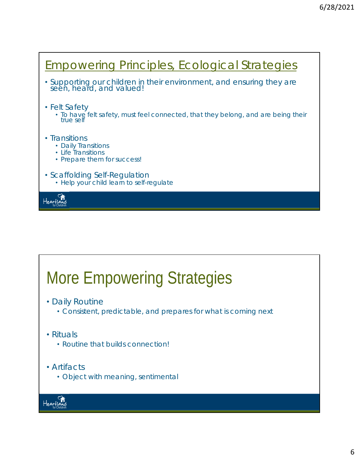#### Empowering Principles, Ecological Strategies • Supporting our children in their environment, and ensuring they are *seen, heard, and valued*! • Felt Safety • To have felt safety, must feel connected, that they belong, and are being their true self • Transitions • Daily Transitions • Life Transitions • Prepare them for success! • Scaffolding Self-Regulation • Help your child learn to self-regulate Heartland

## More Empowering Strategies

- Daily Routine
	- Consistent, predictable, and prepares for what is coming next
- Rituals
	- Routine that builds connection!
- Artifacts
	- Object with meaning, sentimental

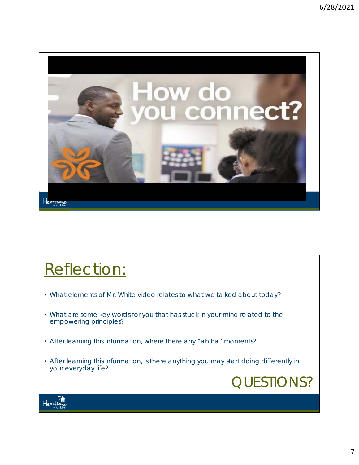

#### Reflection:

- What elements of Mr. White video relates to what we talked about today?
- What are some key words for you that has stuck in your mind related to the empowering principles?
- After learning this information, where there any "ah ha" moments?
- After learning this information, is there anything you may start doing differently in your everyday life?